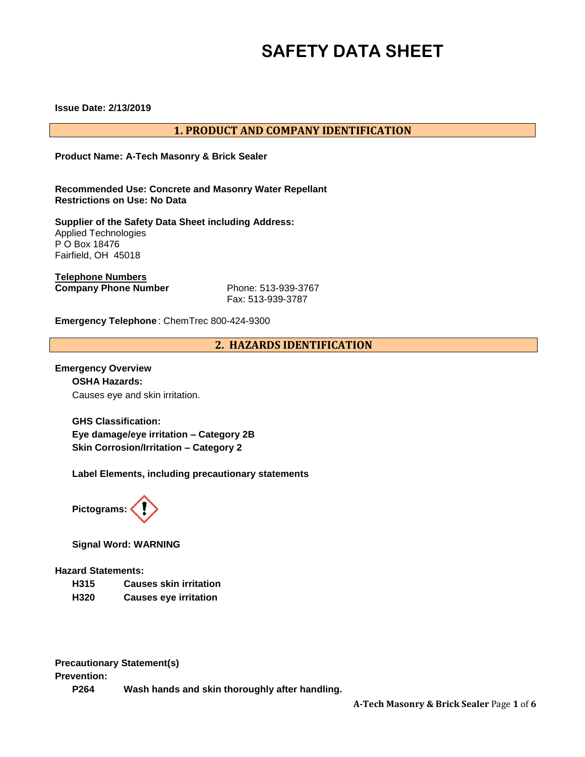# **SAFETY DATA SHEET**

**Issue Date: 2/13/2019** 

# **1. PRODUCT AND COMPANY IDENTIFICATION**

**Product Name: A-Tech Masonry & Brick Sealer** 

**Recommended Use: Concrete and Masonry Water Repellant Restrictions on Use: No Data** 

**Supplier of the Safety Data Sheet including Address:**  Applied Technologies P O Box 18476 Fairfield, OH 45018

**Telephone Numbers Company Phone Number** Phone: 513-939-3767

Fax: 513-939-3787

**Emergency Telephone** : ChemTrec 800-424-9300

**2. HAZARDS IDENTIFICATION**

**Emergency Overview OSHA Hazards:**  Causes eye and skin irritation.

> **GHS Classification: Eye damage/eye irritation – Category 2B Skin Corrosion/Irritation – Category 2**

**Label Elements, including precautionary statements** 



**Signal Word: WARNING** 

#### **Hazard Statements:**

- **H315 Causes skin irritation**
- **H320 Causes eye irritation**

**Precautionary Statement(s)** 

**Prevention:** 

**P264 Wash hands and skin thoroughly after handling.**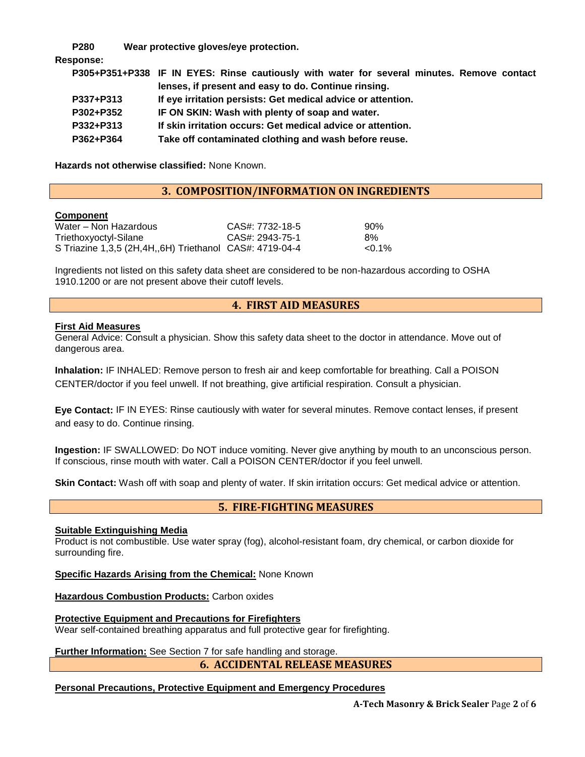**P280 Wear protective gloves/eye protection.** 

#### **Response:**

|           | P305+P351+P338 IF IN EYES: Rinse cautiously with water for several minutes. Remove contact |
|-----------|--------------------------------------------------------------------------------------------|
|           | lenses, if present and easy to do. Continue rinsing.                                       |
| P337+P313 | If eye irritation persists: Get medical advice or attention.                               |
| P302+P352 | IF ON SKIN: Wash with plenty of soap and water.                                            |
| P332+P313 | If skin irritation occurs: Get medical advice or attention.                                |
| P362+P364 | Take off contaminated clothing and wash before reuse.                                      |

**Hazards not otherwise classified:** None Known.

# **3. COMPOSITION/INFORMATION ON INGREDIENTS**

#### **Component**

| Water – Non Hazardous                                   | CAS#: 7732-18-5 | 90%       |
|---------------------------------------------------------|-----------------|-----------|
| Triethoxyoctyl-Silane                                   | CAS#: 2943-75-1 | 8%        |
| S Triazine 1,3,5 (2H,4H,,6H) Triethanol CAS#: 4719-04-4 |                 | $< 0.1\%$ |

Ingredients not listed on this safety data sheet are considered to be non-hazardous according to OSHA 1910.1200 or are not present above their cutoff levels.

# **4. FIRST AID MEASURES**

#### **First Aid Measures**

General Advice: Consult a physician. Show this safety data sheet to the doctor in attendance. Move out of dangerous area.

**Inhalation:** IF INHALED: Remove person to fresh air and keep comfortable for breathing. Call a POISON CENTER/doctor if you feel unwell. If not breathing, give artificial respiration. Consult a physician.

**Eye Contact:** IF IN EYES: Rinse cautiously with water for several minutes. Remove contact lenses, if present and easy to do. Continue rinsing.

**Ingestion:** IF SWALLOWED: Do NOT induce vomiting. Never give anything by mouth to an unconscious person. If conscious, rinse mouth with water. Call a POISON CENTER/doctor if you feel unwell.

**Skin Contact:** Wash off with soap and plenty of water. If skin irritation occurs: Get medical advice or attention.

# **5. FIRE-FIGHTING MEASURES**

#### **Suitable Extinguishing Media**

Product is not combustible. Use water spray (fog), alcohol-resistant foam, dry chemical, or carbon dioxide for surrounding fire.

**Specific Hazards Arising from the Chemical:** None Known

**Hazardous Combustion Products:** Carbon oxides

**Protective Equipment and Precautions for Firefighters**  Wear self-contained breathing apparatus and full protective gear for firefighting.

**Further Information:** See Section 7 for safe handling and storage.

# **6. ACCIDENTAL RELEASE MEASURES**

# **Personal Precautions, Protective Equipment and Emergency Procedures**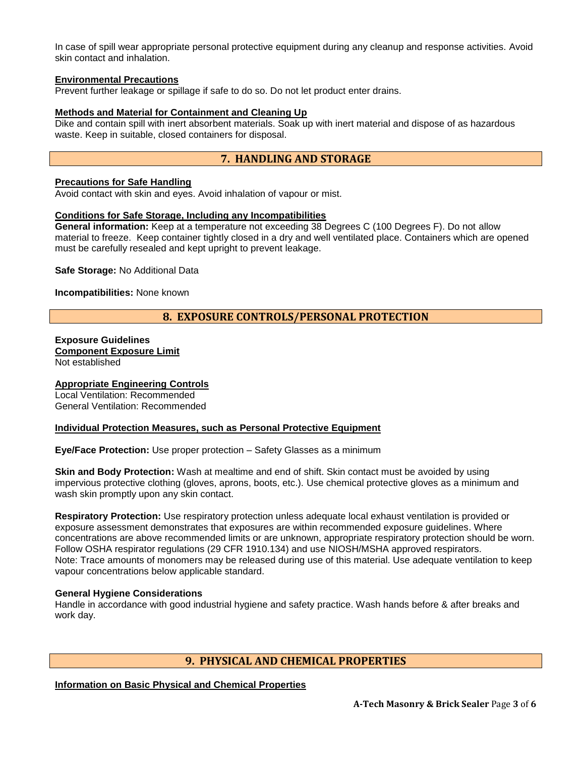In case of spill wear appropriate personal protective equipment during any cleanup and response activities. Avoid skin contact and inhalation.

#### **Environmental Precautions**

Prevent further leakage or spillage if safe to do so. Do not let product enter drains.

#### **Methods and Material for Containment and Cleaning Up**

Dike and contain spill with inert absorbent materials. Soak up with inert material and dispose of as hazardous waste. Keep in suitable, closed containers for disposal.

# **7. HANDLING AND STORAGE**

#### **Precautions for Safe Handling**

Avoid contact with skin and eyes. Avoid inhalation of vapour or mist.

#### **Conditions for Safe Storage, Including any Incompatibilities**

**General information:** Keep at a temperature not exceeding 38 Degrees C (100 Degrees F). Do not allow material to freeze. Keep container tightly closed in a dry and well ventilated place. Containers which are opened must be carefully resealed and kept upright to prevent leakage.

**Safe Storage:** No Additional Data

**Incompatibilities:** None known

# **8. EXPOSURE CONTROLS/PERSONAL PROTECTION**

# **Exposure Guidelines Component Exposure Limit**

Not established

#### **Appropriate Engineering Controls**

Local Ventilation: Recommended General Ventilation: Recommended

#### **Individual Protection Measures, such as Personal Protective Equipment**

**Eye/Face Protection:** Use proper protection – Safety Glasses as a minimum

**Skin and Body Protection:** Wash at mealtime and end of shift. Skin contact must be avoided by using impervious protective clothing (gloves, aprons, boots, etc.). Use chemical protective gloves as a minimum and wash skin promptly upon any skin contact.

**Respiratory Protection:** Use respiratory protection unless adequate local exhaust ventilation is provided or exposure assessment demonstrates that exposures are within recommended exposure guidelines. Where concentrations are above recommended limits or are unknown, appropriate respiratory protection should be worn. Follow OSHA respirator regulations (29 CFR 1910.134) and use NIOSH/MSHA approved respirators. Note: Trace amounts of monomers may be released during use of this material. Use adequate ventilation to keep vapour concentrations below applicable standard.

#### **General Hygiene Considerations**

Handle in accordance with good industrial hygiene and safety practice. Wash hands before & after breaks and work day.

#### **9. PHYSICAL AND CHEMICAL PROPERTIES**

**Information on Basic Physical and Chemical Properties**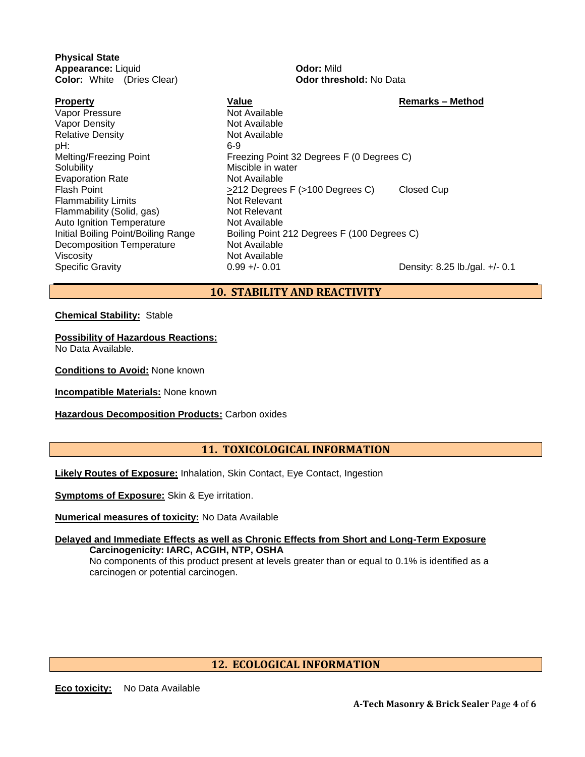**Physical State Appearance:** Liquid **Odor:** Mild **Color:** White (Dries Clear) **Odor threshold:** No Data

Vapor Pressure Not Available Vapor Density **Not Available** Relative Density Not Available pH: 6-9 Solubility Miscible in water Evaporation Rate Not Available Flammability Limits Not Relevant Flammability (Solid, gas) Not Relevant Auto Ignition Temperature Not Available Decomposition Temperature Not Available Viscosity **Not Available** 

- **Property Construction State Construction Value Construction Construction Construction Construction Construction Construction Construction Construction Construction Construction Construction Construction Construction C** Melting/Freezing Point Freezing Point 32 Degrees F (0 Degrees C) Flash Point **Flash Point Clubse 2212 Degrees F** (>100 Degrees C) Closed Cup Initial Boiling Point/Boiling Range Boiling Point 212 Degrees F (100 Degrees C) Specific Gravity **0.99 +/- 0.01** Density: 8.25 lb./gal. +/- 0.1
	- **10. STABILITY AND REACTIVITY**

**Chemical Stability:** Stable

**Possibility of Hazardous Reactions:**

No Data Available.

**Conditions to Avoid:** None known

**Incompatible Materials:** None known

**Hazardous Decomposition Products:** Carbon oxides

# **11. TOXICOLOGICAL INFORMATION**

**Likely Routes of Exposure:** Inhalation, Skin Contact, Eye Contact, Ingestion

**Symptoms of Exposure:** Skin & Eye irritation.

**Numerical measures of toxicity:** No Data Available

#### **Delayed and Immediate Effects as well as Chronic Effects from Short and Long-Term Exposure Carcinogenicity: IARC, ACGIH, NTP, OSHA**

No components of this product present at levels greater than or equal to 0.1% is identified as a carcinogen or potential carcinogen.

# **12. ECOLOGICAL INFORMATION**

**Eco toxicity:** No Data Available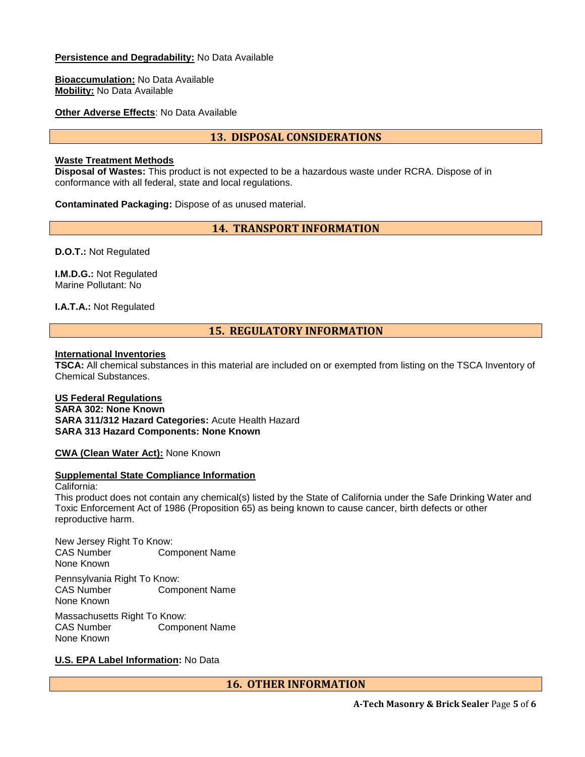#### **Persistence and Degradability:** No Data Available

**Bioaccumulation:** No Data Available **Mobility:** No Data Available

**Other Adverse Effects**: No Data Available

# **13. DISPOSAL CONSIDERATIONS**

#### **Waste Treatment Methods**

**Disposal of Wastes:** This product is not expected to be a hazardous waste under RCRA. Dispose of in conformance with all federal, state and local regulations.

**Contaminated Packaging:** Dispose of as unused material.

# **14. TRANSPORT INFORMATION**

**D.O.T.:** Not Regulated

**I.M.D.G.:** Not Regulated Marine Pollutant: No

**I.A.T.A.:** Not Regulated

# **15. REGULATORY INFORMATION**

#### **International Inventories**

**TSCA:** All chemical substances in this material are included on or exempted from listing on the TSCA Inventory of Chemical Substances.

#### **US Federal Regulations SARA 302: None Known SARA 311/312 Hazard Categories:** Acute Health Hazard **SARA 313 Hazard Components: None Known**

**CWA (Clean Water Act):** None Known

#### **Supplemental State Compliance Information**

#### California: This product does not contain any chemical(s) listed by the State of California under the Safe Drinking Water and Toxic Enforcement Act of 1986 (Proposition 65) as being known to cause cancer, birth defects or other reproductive harm.

New Jersey Right To Know:<br>CAS Number Con **Component Name** None Known Pennsylvania Right To Know: CAS Number Component Name None Known

Massachusetts Right To Know: CAS Number Component Name None Known

# **U.S. EPA Label Information:** No Data

**16. OTHER INFORMATION**